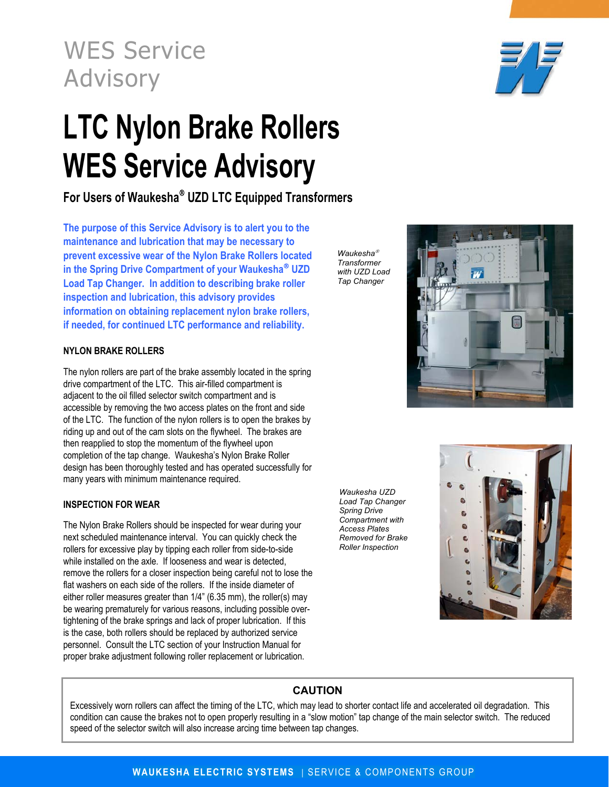WES Service Advisory

# **LTC Nylon Brake Rollers WES Service Advisory**

For Users of Waukesha<sup>®</sup> UZD LTC Equipped Transformers

**The purpose of this Service Advisory is to alert you to the maintenance and lubrication that may be necessary to prevent excessive wear of the Nylon Brake Rollers located in the Spring Drive Compartment of your Waukesha<sup>®</sup> UZD Load Tap Changer. In addition to describing brake roller inspection and lubrication, this advisory provides information on obtaining replacement nylon brake rollers, if needed, for continued LTC performance and reliability.** 

## **NYLON BRAKE ROLLERS**

The nylon rollers are part of the brake assembly located in the spring drive compartment of the LTC. This air-filled compartment is adjacent to the oil filled selector switch compartment and is accessible by removing the two access plates on the front and side of the LTC. The function of the nylon rollers is to open the brakes by riding up and out of the cam slots on the flywheel. The brakes are then reapplied to stop the momentum of the flywheel upon completion of the tap change. Waukesha's Nylon Brake Roller design has been thoroughly tested and has operated successfully for many years with minimum maintenance required.

### **INSPECTION FOR WEAR**

The Nylon Brake Rollers should be inspected for wear during your next scheduled maintenance interval. You can quickly check the rollers for excessive play by tipping each roller from side-to-side while installed on the axle. If looseness and wear is detected, remove the rollers for a closer inspection being careful not to lose the flat washers on each side of the rollers. If the inside diameter of either roller measures greater than 1/4" (6.35 mm), the roller(s) may be wearing prematurely for various reasons, including possible overtightening of the brake springs and lack of proper lubrication. If this is the case, both rollers should be replaced by authorized service personnel. Consult the LTC section of your Instruction Manual for proper brake adjustment following roller replacement or lubrication.

*Waukesha Transformer with UZD Load Tap Changer* 





 $\overline{M}$ 

# **CAUTION**

Excessively worn rollers can affect the timing of the LTC, which may lead to shorter contact life and accelerated oil degradation. This condition can cause the brakes not to open properly resulting in a "slow motion" tap change of the main selector switch. The reduced speed of the selector switch will also increase arcing time between tap changes.

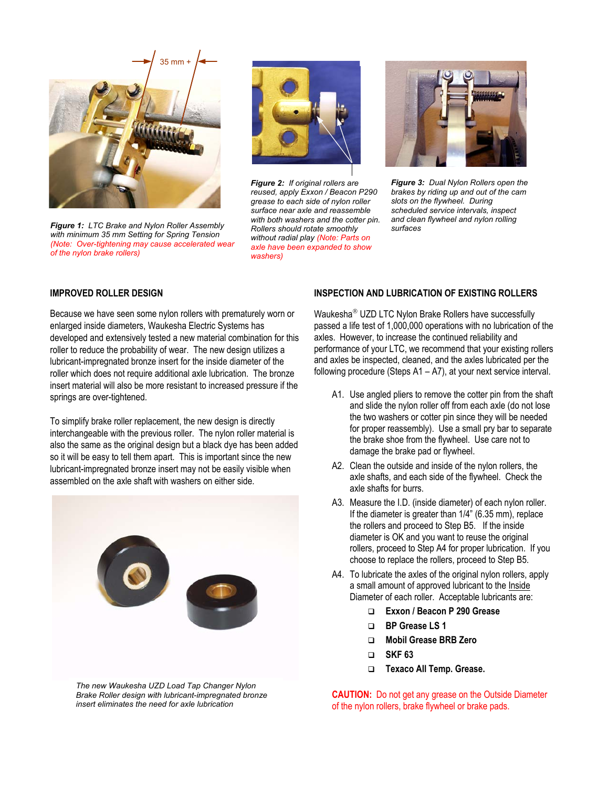

*Figure 1: LTC Brake and Nylon Roller Assembly with minimum 35 mm Setting for Spring Tension (Note: Over-tightening may cause accelerated wear of the nylon brake rollers)* 



*Figure 2: If original rollers are reused, apply Exxon / Beacon P290 grease to each side of nylon roller surface near axle and reassemble with both washers and the cotter pin. Rollers should rotate smoothly without radial play (Note: Parts on axle have been expanded to show washers)*



*Figure 3: Dual Nylon Rollers open the brakes by riding up and out of the cam slots on the flywheel. During scheduled service intervals, inspect and clean flywheel and nylon rolling surfaces* 

#### **IMPROVED ROLLER DESIGN**

Because we have seen some nylon rollers with prematurely worn or enlarged inside diameters, Waukesha Electric Systems has developed and extensively tested a new material combination for this roller to reduce the probability of wear. The new design utilizes a lubricant-impregnated bronze insert for the inside diameter of the roller which does not require additional axle lubrication. The bronze insert material will also be more resistant to increased pressure if the springs are over-tightened.

To simplify brake roller replacement, the new design is directly interchangeable with the previous roller. The nylon roller material is also the same as the original design but a black dye has been added so it will be easy to tell them apart. This is important since the new lubricant-impregnated bronze insert may not be easily visible when assembled on the axle shaft with washers on either side.



*The new Waukesha UZD Load Tap Changer Nylon Brake Roller design with lubricant-impregnated bronze insert eliminates the need for axle lubrication* 

#### **INSPECTION AND LUBRICATION OF EXISTING ROLLERS**

Waukesha<sup>®</sup> UZD LTC Nylon Brake Rollers have successfully passed a life test of 1,000,000 operations with no lubrication of the axles. However, to increase the continued reliability and performance of your LTC, we recommend that your existing rollers and axles be inspected, cleaned, and the axles lubricated per the following procedure (Steps A1 – A7), at your next service interval.

- A1. Use angled pliers to remove the cotter pin from the shaft and slide the nylon roller off from each axle (do not lose the two washers or cotter pin since they will be needed for proper reassembly). Use a small pry bar to separate the brake shoe from the flywheel. Use care not to damage the brake pad or flywheel.
- A2. Clean the outside and inside of the nylon rollers, the axle shafts, and each side of the flywheel. Check the axle shafts for burrs.
- A3. Measure the I.D. (inside diameter) of each nylon roller. If the diameter is greater than 1/4" (6.35 mm), replace the rollers and proceed to Step B5. If the inside diameter is OK and you want to reuse the original rollers, proceed to Step A4 for proper lubrication. If you choose to replace the rollers, proceed to Step B5.
- A4. To lubricate the axles of the original nylon rollers, apply a small amount of approved lubricant to the Inside Diameter of each roller. Acceptable lubricants are:
	- **Exxon / Beacon P 290 Grease**
	- **BP Grease LS 1**
	- **Mobil Grease BRB Zero**
	- **SKF 63**
	- **Texaco All Temp. Grease.**

**CAUTION:** Do not get any grease on the Outside Diameter of the nylon rollers, brake flywheel or brake pads.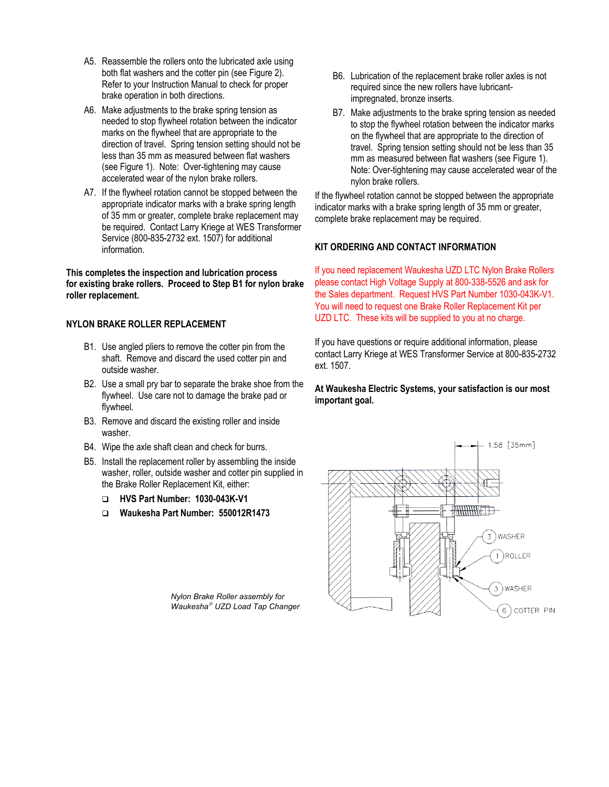- A5. Reassemble the rollers onto the lubricated axle using both flat washers and the cotter pin (see Figure 2). Refer to your Instruction Manual to check for proper brake operation in both directions.
- A6. Make adjustments to the brake spring tension as needed to stop flywheel rotation between the indicator marks on the flywheel that are appropriate to the direction of travel. Spring tension setting should not be less than 35 mm as measured between flat washers (see Figure 1). Note: Over-tightening may cause accelerated wear of the nylon brake rollers.
- A7. If the flywheel rotation cannot be stopped between the appropriate indicator marks with a brake spring length of 35 mm or greater, complete brake replacement may be required. Contact Larry Kriege at WES Transformer Service (800-835-2732 ext. 1507) for additional information.

**This completes the inspection and lubrication process for existing brake rollers. Proceed to Step B1 for nylon brake roller replacement.** 

#### **NYLON BRAKE ROLLER REPLACEMENT**

- B1. Use angled pliers to remove the cotter pin from the shaft. Remove and discard the used cotter pin and outside washer.
- B2. Use a small pry bar to separate the brake shoe from the flywheel. Use care not to damage the brake pad or flywheel.
- B3. Remove and discard the existing roller and inside washer.
- B4. Wipe the axle shaft clean and check for burrs.
- B5. Install the replacement roller by assembling the inside washer, roller, outside washer and cotter pin supplied in the Brake Roller Replacement Kit, either:
	- **HVS Part Number: 1030-043K-V1**
	- **Waukesha Part Number: 550012R1473**

*Nylon Brake Roller assembly for Waukesha UZD Load Tap Changer*

- B6. Lubrication of the replacement brake roller axles is not required since the new rollers have lubricantimpregnated, bronze inserts.
- B7. Make adjustments to the brake spring tension as needed to stop the flywheel rotation between the indicator marks on the flywheel that are appropriate to the direction of travel. Spring tension setting should not be less than 35 mm as measured between flat washers (see Figure 1). Note: Over-tightening may cause accelerated wear of the nylon brake rollers.

If the flywheel rotation cannot be stopped between the appropriate indicator marks with a brake spring length of 35 mm or greater, complete brake replacement may be required.

#### **KIT ORDERING AND CONTACT INFORMATION**

If you need replacement Waukesha UZD LTC Nylon Brake Rollers please contact High Voltage Supply at 800-338-5526 and ask for the Sales department. Request HVS Part Number 1030-043K-V1. You will need to request one Brake Roller Replacement Kit per UZD LTC. These kits will be supplied to you at no charge.

If you have questions or require additional information, please contact Larry Kriege at WES Transformer Service at 800-835-2732 ext. 1507.

#### **At Waukesha Electric Systems, your satisfaction is our most important goal.**